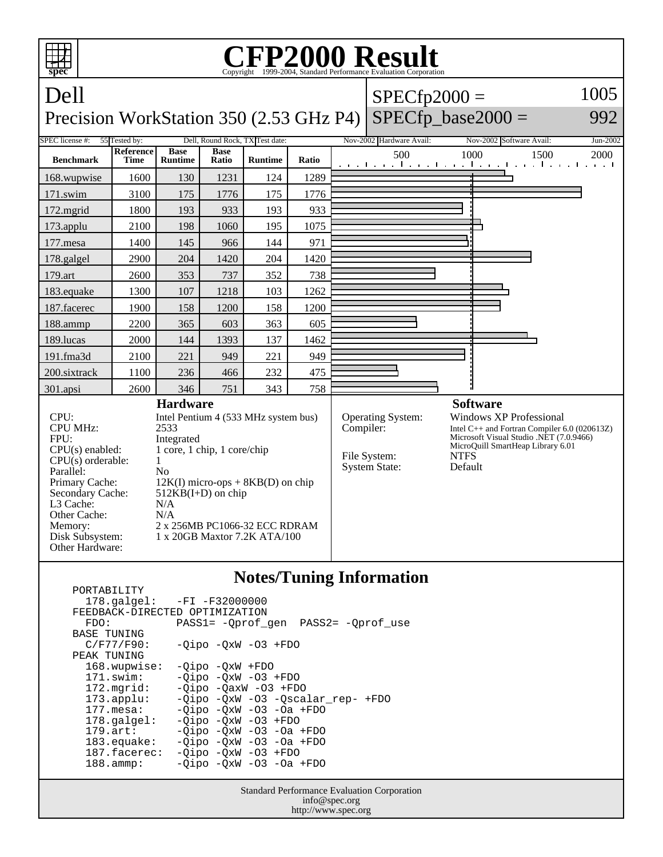

## **Notes/Tuning Information**

 PORTABILITY 178.galgel: -FI -F32000000 FEEDBACK-DIRECTED OPTIMIZATION<br>FDO: PASS1= -Oprof FDO: PASS1= -Qprof\_gen PASS2= -Qprof\_use BASE TUNING  $C/F77/F90: -Qipo -QxW -O3 + FDO$ PEAK TUNING<br>168.wupwise: 168.wupwise: -Qipo -QxW +FDO<br>171.swim: -Oipo -OxW -O3 -Qipo -QxW -O3 +FDO 172.mgrid: -Qipo -QaxW -O3 +FDO 173.applu: -Qipo -QxW -O3 -Qscalar\_rep- +FDO 177.mesa: -Qipo -QxW -O3 -Oa +FDO<br>178.galgel: -Qipo -QxW -O3 +FDO 178.galgel: - Qipo - QxW - 03 + FDO<br>179.art: - Oipo - OxW - 03 - Oa 179.art: - Qipo - QxW - 03 - 0a + FDO<br>183.equake: - Qipo - QxW - 03 - 0a + FDO  $-Qipo -QxW -O3 -Oa +FDO$  187.facerec: -Qipo -QxW -O3 +FDO 188.ammp: -Qipo -QxW -O3 -Oa +FDO

> Standard Performance Evaluation Corporation info@spec.org http://www.spec.org